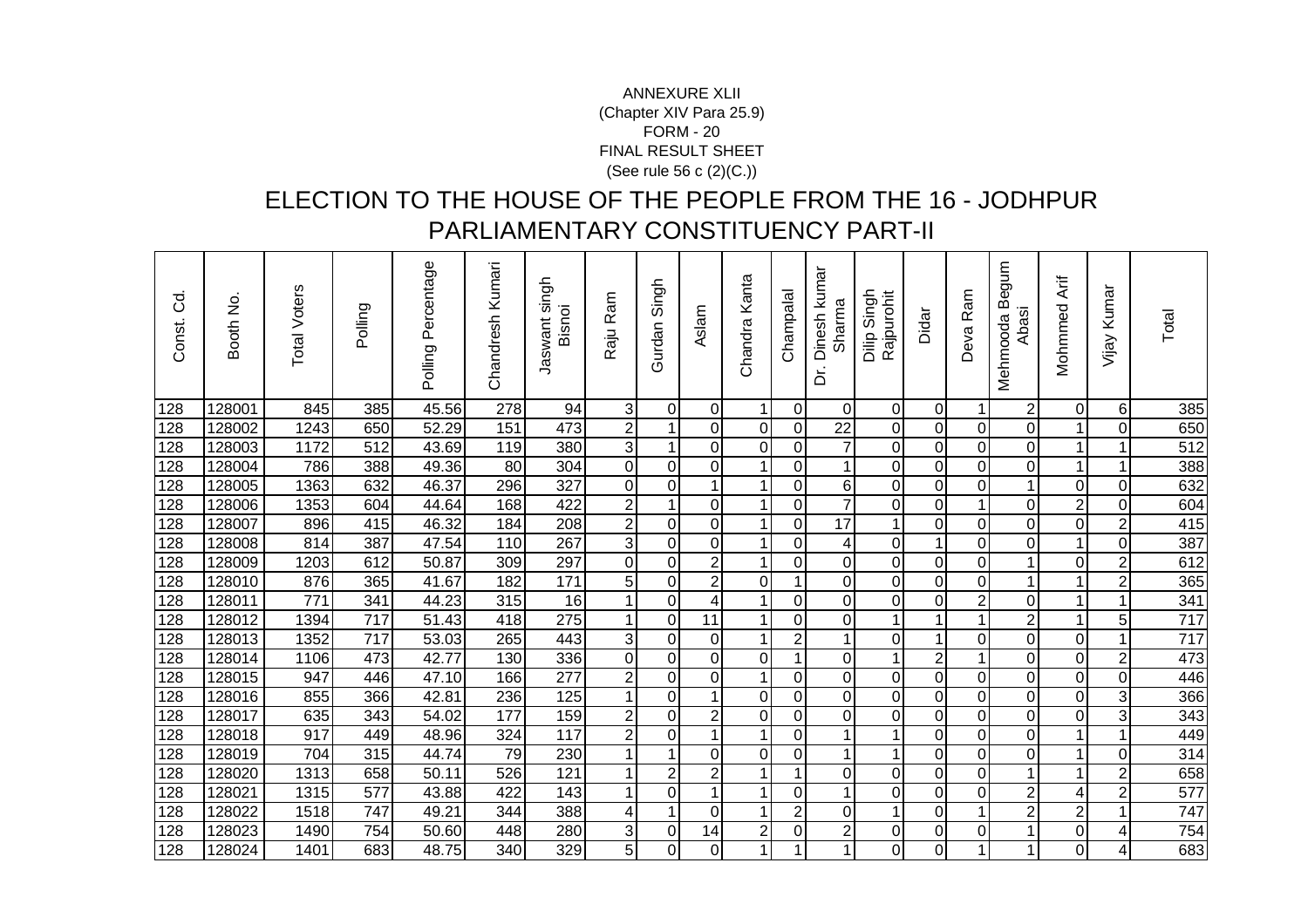## FORM - 20 FINAL RESULT SHEET (See rule 56 c (2)(C.))ANNEXURE XLII(Chapter XIV Para 25.9)

## ELECTION TO THE HOUSE OF THE PEOPLE FROM THE 16 - JODHPUR PARLIAMENTARY CONSTITUENCY PART-II

| ਰ<br>$\circ$<br>Const. | Booth No. | <b>Total Voters</b> | Polling          | Polling Percentage | Chandresh Kumari | Jaswant singh<br>Bisnoi | Raju Ram         | Singh<br>Gurdan | Aslam          | Chandra Kanta  | Champala                | Dinesh kumar<br>Sharma<br>.<br>م | Singh<br>Rajpurohit<br>Dilip | Didar            | Ram<br>Deva    | mnbe<br>Mehmooda B<br>Abasi | Mohmmed Arif   | Kumar<br>Vijay | Total |
|------------------------|-----------|---------------------|------------------|--------------------|------------------|-------------------------|------------------|-----------------|----------------|----------------|-------------------------|----------------------------------|------------------------------|------------------|----------------|-----------------------------|----------------|----------------|-------|
| 128                    | 128001    | 845                 | 385              | 45.56              | $\overline{278}$ | 94                      | 3                | $\Omega$        | $\Omega$       | $\mathbf{1}$   | $\mathbf 0$             | $\Omega$                         | 0                            | $\mathbf 0$      | 1              | $\mathbf{2}$                | $\mathbf 0$    | 6              | 385   |
| 128                    | 128002    | 1243                | 650              | 52.29              | 151              | 473                     | $\boldsymbol{2}$ | 1               | $\overline{0}$ | $\mathbf 0$    | 0                       | $\overline{22}$                  | 0                            | 0                | $\mathbf 0$    | $\overline{0}$              | 1              | 0              | 650   |
| 128                    | 128003    | 1172                | $\overline{512}$ | 43.69              | 119              | 380                     | 3                | $\overline{ }$  | $\overline{0}$ | $\mathbf 0$    | $\overline{0}$          | $\overline{7}$                   | $\overline{0}$               | $\overline{0}$   | $\mathbf 0$    | $\overline{0}$              | 1              |                | 512   |
| 128                    | 128004    | 786                 | 388              | 49.36              | 80               | 304                     | $\overline{0}$   | 0               | $\Omega$       | $\mathbf{1}$   | $\mathbf 0$             | 1                                | 0                            | $\mathbf 0$      | $\mathbf 0$    | $\overline{0}$              | 1              |                | 388   |
| 128                    | 128005    | 1363                | 632              | 46.37              | 296              | 327                     | $\overline{0}$   | 0               | 1              | 1              | 0                       | 6                                | 0                            | 0                | $\mathbf 0$    | $\mathbf 1$                 | 0              | 0              | 632   |
| 128                    | 128006    | 1353                | 604              | 44.64              | 168              | 422                     | $\mathbf 2$      |                 | $\Omega$       | 1              | 0                       | $\overline{7}$                   | 0                            | 0                |                | $\overline{0}$              | $\overline{2}$ | 0              | 604   |
| 128                    | 128007    | 896                 | 415              | 46.32              | 184              | 208                     | $\overline{2}$   | $\mathbf 0$     | $\overline{0}$ | 1              | $\mathbf 0$             | $\overline{17}$                  | 1                            | $\mathbf 0$      | $\mathbf 0$    | $\overline{0}$              | $\overline{0}$ | $\overline{2}$ | 415   |
| 128                    | 128008    | 814                 | 387              | 47.54              | 110              | 267                     | 3                | $\mathbf 0$     | $\overline{0}$ | $\mathbf{1}$   | $\mathbf 0$             | 4                                | 0                            | $\mathbf{1}$     | $\overline{0}$ | $\overline{0}$              | $\mathbf{1}$   | 0              | 387   |
| 128                    | 128009    | 1203                | 612              | 50.87              | 309              | 297                     | $\overline{0}$   | 0               | $\overline{2}$ | $\mathbf 1$    | 0                       | 0                                | 0                            | 0                | $\mathbf 0$    | 1                           | 0              | $\overline{2}$ | 612   |
| 128                    | 128010    | 876                 | 365              | 41.67              | 182              | 171                     | 5                | $\mathbf 0$     | $\overline{2}$ | $\mathbf 0$    | $\mathbf 1$             | 0                                | $\mathbf 0$                  | $\mathbf 0$      | $\pmb{0}$      | $\mathbf{1}$                | 1              | $\overline{2}$ | 365   |
| 128                    | 128011    | 771                 | 341              | 44.23              | 315              | 16                      | 1                | $\mathbf 0$     | 4              | $\mathbf{1}$   | $\mathbf 0$             | 0                                | $\mathbf 0$                  | 0                | $\overline{2}$ | $\overline{0}$              | $\mathbf{1}$   |                | 341   |
| 128                    | 128012    | 1394                | 717              | 51.43              | 418              | 275                     | 1                | $\mathbf 0$     | 11             | 1              | $\mathbf 0$             | 0                                | $\mathbf{1}$                 | 1                | 1              | $\mathbf{2}$                | 1              | 5              | 717   |
| 128                    | 128013    | 1352                | 717              | 53.03              | 265              | 443                     | $\overline{3}$   | 0               | $\Omega$       | $\mathbf 1$    | $\overline{\mathbf{c}}$ | 1                                | $\overline{0}$               | $\mathbf 1$      | $\mathbf 0$    | $\overline{0}$              | $\pmb{0}$      | 1              | 717   |
| 128                    | 128014    | 1106                | 473              | 42.77              | 130              | 336                     | $\overline{0}$   | $\mathbf 0$     | $\overline{0}$ | $\mathbf 0$    | $\mathbf{1}$            | 0                                | 1                            | $\overline{2}$   | $\mathbf 1$    | $\overline{0}$              | $\mathbf 0$    | $\overline{2}$ | 473   |
| 128                    | 128015    | 947                 | 446              | 47.10              | 166              | 277                     | $\overline{2}$   | 0               | $\overline{0}$ | 1              | $\mathbf 0$             | 0                                | 0                            | $\boldsymbol{0}$ | $\mathbf 0$    | $\overline{0}$              | 0              | 0              | 446   |
| 128                    | 128016    | 855                 | 366              | 42.81              | 236              | $\overline{125}$        | 1                | $\overline{0}$  | 1              | $\mathbf 0$    | $\mathbf 0$             | 0                                | $\overline{0}$               | $\mathbf 0$      | $\mathbf 0$    | $\overline{0}$              | $\mathbf 0$    | 3              | 366   |
| 128                    | 128017    | 635                 | 343              | 54.02              | 177              | 159                     | $\mathbf 2$      | 0               | $\overline{2}$ | $\mathbf 0$    | $\mathbf 0$             | $\overline{0}$                   | $\mathbf 0$                  | $\pmb{0}$        | $\overline{0}$ | $\overline{0}$              | $\pmb{0}$      | 3              | 343   |
| 128                    | 128018    | 917                 | 449              | 48.96              | 324              | 117                     | $\overline{2}$   | 0               | 1              | $\mathbf 1$    | 0                       | 1                                | 1                            | $\pmb{0}$        | $\mathbf 0$    | $\overline{0}$              | $\mathbf{1}$   | 1              | 449   |
| 128                    | 128019    | 704                 | 315              | 44.74              | 79               | 230                     | 1                | 1               | $\Omega$       | $\mathbf 0$    | $\mathbf 0$             | 1                                | 1                            | 0                | $\mathbf 0$    | $\overline{0}$              | 1              | $\Omega$       | 314   |
| 128                    | 128020    | 1313                | 658              | 50.11              | 526              | 121                     | 1                | $\overline{2}$  | $\overline{2}$ | $\mathbf{1}$   | $\mathbf{1}$            | $\overline{0}$                   | 0                            | $\overline{0}$   | $\overline{0}$ | $\mathbf{1}$                | 1              | $\overline{2}$ | 658   |
| 128                    | 128021    | 1315                | 577              | 43.88              | 422              | 143                     |                  | 0               | 1              | 1              | $\overline{0}$          | 1                                | 0                            | 0                | $\mathbf 0$    | $\mathbf{2}$                | 4              | $\overline{2}$ | 577   |
| 128                    | 128022    | 1518                | 747              | 49.21              | 344              | 388                     | $\overline{4}$   | 1               | $\Omega$       | 1              | $\overline{2}$          | $\Omega$                         | $\mathbf{1}$                 | $\overline{O}$   | 1              | $\overline{2}$              | 2              |                | 747   |
| 128                    | 128023    | 1490                | 754              | 50.60              | 448              | 280                     | $\sqrt{3}$       | $\pmb{0}$       | 14             | $\overline{2}$ | $\mathbf 0$             | $\overline{\mathbf{c}}$          | $\overline{0}$               | $\mathbf 0$      | $\mathbf 0$    | $\mathbf 1$                 | 0              | 4              | 754   |
| 128                    | 128024    | 1401                | 683              | 48.75              | 340              | 329                     | 5                | $\overline{0}$  | $\Omega$       | $\mathbf{1}$   | 1                       |                                  | $\overline{0}$               | $\overline{0}$   | 1              | 1                           | 0              | 4              | 683   |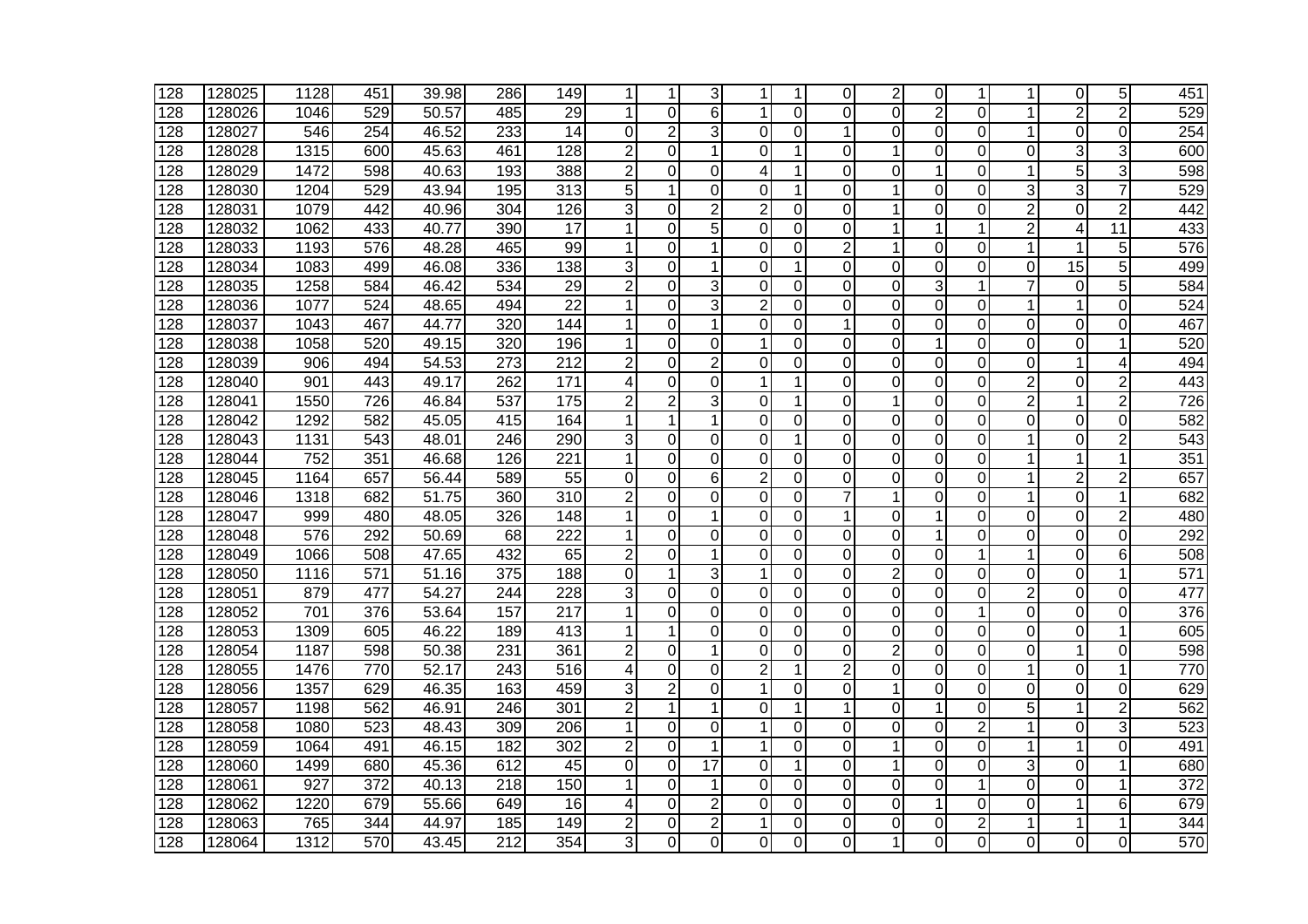| 128 | 128025 | 1128 | 451 | 39.98 | 286              | 149              |                | 1              | 3              | 1              |             | $\Omega$       | $\overline{2}$ | 0              | 1              | 1                       | 0               | 5               | 451              |
|-----|--------|------|-----|-------|------------------|------------------|----------------|----------------|----------------|----------------|-------------|----------------|----------------|----------------|----------------|-------------------------|-----------------|-----------------|------------------|
| 128 | 128026 | 1046 | 529 | 50.57 | 485              | 29               | 1              | $\Omega$       | 6              | $\mathbf{1}$   | 0           | 0              | $\Omega$       | $\overline{2}$ | $\Omega$       | 1                       | $\overline{c}$  | $\overline{2}$  | 529              |
| 128 | 128027 | 546  | 254 | 46.52 | 233              | 14               | 0              | $\overline{2}$ | 3              | $\overline{0}$ | $\Omega$    | 1              | $\mathbf 0$    | 0              | $\Omega$       | 1                       | $\mathbf 0$     | $\Omega$        | 254              |
| 128 | 128028 | 1315 | 600 | 45.63 | 461              | $\overline{128}$ | 2              | 0              | 1              | $\Omega$       | 1           | 0              | 1              | 0              | 0              | 0                       | 3               | 3               | 600              |
| 128 | 128029 | 1472 | 598 | 40.63 | 193              | 388              | 2              | 0              | $\Omega$       | 4              | 1           | $\Omega$       | 0              | 1              | 0              | 1                       | 5               | 3               | 598              |
| 128 | 128030 | 1204 | 529 | 43.94 | 195              | $\overline{313}$ | 5              | 1              | 0              | 0              | 1           | 0              | 1              | 0              | 0              | 3                       | 3               | 7               | 529              |
| 128 | 128031 | 1079 | 442 | 40.96 | 304              | 126              | 3              | $\Omega$       | $\overline{2}$ | $\overline{2}$ | 0           | 0              | 1              | $\mathbf 0$    | 0              | $\overline{2}$          | 0               | $\overline{2}$  | 442              |
| 128 | 128032 | 1062 | 433 | 40.77 | 390              | $\overline{17}$  | 1              | $\mathbf 0$    | $\overline{5}$ | 0              | 0           | 0              | 1              | 1              | 1              | $\overline{2}$          | 4               | $\overline{11}$ | 433              |
| 128 | 128033 | 1193 | 576 | 48.28 | 465              | 99               | 1              | 0              | 1              | 0              | $\mathbf 0$ | $\overline{2}$ | $\mathbf{1}$   | $\overline{0}$ | $\overline{0}$ | 1                       | 1               | 5               | 576              |
| 128 | 128034 | 1083 | 499 | 46.08 | 336              | 138              | 3              | 0              | 1              | 0              |             | $\Omega$       | $\overline{0}$ | $\overline{0}$ | 0              | $\overline{\mathsf{o}}$ | $\overline{15}$ | 5               | 499              |
| 128 | 128035 | 1258 | 584 | 46.42 | 534              | 29               | $\overline{2}$ | 0              | 3              | $\Omega$       | 0           | 0              | $\Omega$       | 3              | $\mathbf{1}$   | $\overline{7}$          | $\Omega$        | 5               | 584              |
| 128 | 128036 | 1077 | 524 | 48.65 | 494              | 22               | 1              | 0              | 3              | $\overline{2}$ | 0           | 0              | 0              | 0              | 0              | 1                       | 1               | 0               | 524              |
| 128 | 128037 | 1043 | 467 | 44.77 | 320              | 144              | 1              | 0              | 1              | 0              | 0           | 1              | 0              | 0              | 0              | 0                       | 0               | 0               | 467              |
| 128 | 128038 | 1058 | 520 | 49.15 | 320              | 196              |                | 0              | 0              | 1              | 0           | 0              | 0              | 1              | 0              | 0                       | 0               | 1               | 520              |
| 128 | 128039 | 906  | 494 | 54.53 | 273              | $\overline{212}$ | $\overline{2}$ | 0              | $\overline{2}$ | $\Omega$       | 0           | 0              | $\overline{0}$ | 0              | 0              | 0                       | 1               | 4               | 494              |
| 128 | 128040 | 901  | 443 | 49.17 | 262              | 171              | 4              | 0              | 0              | $\mathbf{1}$   | 1           | $\Omega$       | $\overline{0}$ | $\overline{0}$ | $\overline{0}$ | $\overline{2}$          | 0               | $\overline{2}$  | 443              |
| 128 | 128041 | 1550 | 726 | 46.84 | 537              | 175              | $\overline{c}$ | $\overline{c}$ | 3              | $\overline{0}$ | 1           | 0              | $\mathbf{1}$   | 0              | 0              | $\overline{2}$          | 1               | $\overline{2}$  | 726              |
| 128 | 128042 | 1292 | 582 | 45.05 | 415              | 164              | 1              | 1              | 1              | 0              | $\Omega$    | 0              | $\Omega$       | 0              | $\Omega$       | $\overline{0}$          | 0               | $\Omega$        | 582              |
| 128 | 128043 | 1131 | 543 | 48.01 | 246              | 290              | 3              | 0              | 0              | $\Omega$       | 1           | 0              | $\overline{0}$ | 0              | $\overline{0}$ | $\mathbf{1}$            | 0               | $\overline{2}$  | 543              |
| 128 | 128044 | 752  | 351 | 46.68 | 126              | 221              | 1              | 0              | $\Omega$       | $\Omega$       | $\Omega$    | 0              | $\Omega$       | 0              | 0              | 1                       | 1               | 1               | 351              |
| 128 | 128045 | 1164 | 657 | 56.44 | 589              | 55               | 0              | 0              | 6              | $\overline{c}$ | 0           | 0              | 0              | 0              | 0              | 1                       | $\overline{2}$  | $\overline{c}$  | 657              |
| 128 | 128046 | 1318 | 682 | 51.75 | 360              | 310              | 2              | 0              | 0              | 0              | 0           | 7              | 1              | 0              | 0              | 1                       | 0               | 1               | 682              |
| 128 | 128047 | 999  | 480 | 48.05 | 326              | $\overline{148}$ | 1              | $\mathbf 0$    | 1              | $\mathbf 0$    | 0           | 1              | $\mathbf 0$    | 1              | $\mathbf 0$    | 0                       | 0               | $\overline{2}$  | 480              |
| 128 | 128048 | 576  | 292 | 50.69 | 68               | 222              | 1              | 0              | 0              | 0              | 0           | 0              | $\mathbf 0$    | 1              | 0              | $\overline{0}$          | $\mathbf 0$     | $\mathbf 0$     | 292              |
| 128 | 128049 | 1066 | 508 | 47.65 | 432              | 65               | $\overline{2}$ | 0              | 1              | $\overline{0}$ | 0           | 0              | $\mathbf 0$    | $\overline{0}$ | 1              | 1                       | $\overline{0}$  | 6               | 508              |
| 128 | 128050 | 1116 | 571 | 51.16 | 375              | 188              | 0              | 1              | 3              | $\mathbf{1}$   | 0           | 0              | $\overline{2}$ | $\Omega$       | 0              | 0                       | $\Omega$        | 1               | $\overline{571}$ |
| 128 | 128051 | 879  | 477 | 54.27 | 244              | 228              | 3              | $\overline{0}$ | 0              | 0              | 0           | 0              | $\overline{0}$ | $\overline{0}$ | $\overline{0}$ | $\overline{2}$          | 0               | $\overline{0}$  | 477              |
| 128 | 128052 | 701  | 376 | 53.64 | 157              | 217              | 1              | 0              | $\Omega$       | $\Omega$       | 0           | 0              | 0              | 0              | $\mathbf{1}$   | 0                       | 0               | 0               | 376              |
| 128 | 128053 | 1309 | 605 | 46.22 | 189              | 413              | 1              | 1              | 0              | 0              | 0           | 0              | 0              | 0              | 0              | 0                       | 0               | 1               | 605              |
| 128 | 128054 | 1187 | 598 | 50.38 | 231              | 361              | $\overline{2}$ | 0              | 1              | $\Omega$       | 0           | 0              | $\overline{2}$ | 0              | 0              | 0                       | 1               | 0               | 598              |
| 128 | 128055 | 1476 | 770 | 52.17 | 243              | 516              | 4              | $\overline{0}$ | $\mathbf 0$    | $\overline{2}$ | 1           | $\overline{2}$ | $\mathbf 0$    | $\mathbf 0$    | $\mathbf 0$    | 1                       | 0               | 1               | 770              |
| 128 | 128056 | 1357 | 629 | 46.35 | 163              | 459              | 3              | $\overline{c}$ | $\mathbf 0$    | $\mathbf{1}$   | 0           | 0              | $\mathbf{1}$   | 0              | 0              | 0                       | $\Omega$        | $\overline{0}$  | 629              |
| 128 | 128057 | 1198 | 562 | 46.91 | 246              | 301              | $\overline{c}$ | 1              | 1              | $\Omega$       | 1           | 1              | $\Omega$       | 1              | 0              | 5                       | 1               | $\overline{2}$  | 562              |
| 128 | 128058 | 1080 | 523 | 48.43 | 309              | 206              | 1              | 0              | 0              | 1              | 0           | 0              | $\overline{0}$ | 0              | $\overline{2}$ | 1                       | $\Omega$        | 3               | 523              |
| 128 | 128059 | 1064 | 491 | 46.15 | 182              | 302              | $\overline{c}$ | 0              | 1              | $\mathbf 1$    | $\Omega$    | 0              | 1              | 0              | 0              | 1                       | 1               | $\Omega$        | 491              |
| 128 | 128060 | 1499 | 680 | 45.36 | 612              | 45               | 0              | $\Omega$       | 17             | $\Omega$       | 1           | 0              | 1              | 0              | 0              | 3                       | 0               | 1               | 680              |
| 128 | 128061 | 927  | 372 | 40.13 | $\overline{218}$ | 150              |                | 0              |                | 0              | 0           | 0              | 0              | $\overline{0}$ | 1              | 0                       | 0               | 1               | $\overline{372}$ |
| 128 | 128062 | 1220 | 679 | 55.66 | 649              | $\overline{16}$  | 4              | 0              | $\overline{2}$ | $\Omega$       | 0           | $\Omega$       | $\overline{0}$ | 1              | $\overline{0}$ | $\overline{0}$          | 1               | 6               | 679              |
| 128 | 128063 | 765  | 344 | 44.97 | 185              | 149              | $\overline{c}$ | 0              | $\overline{c}$ | 1              | 0           | 0              | 0              | 0              | $\overline{c}$ | 1                       | 1               |                 | 344              |
| 128 | 128064 | 1312 | 570 | 43.45 | 212              | 354              | 3              | 0              | $\Omega$       | $\Omega$       | $\Omega$    | 0              | 1              | 0              | 0              | 0                       | 0               | 0               | 570              |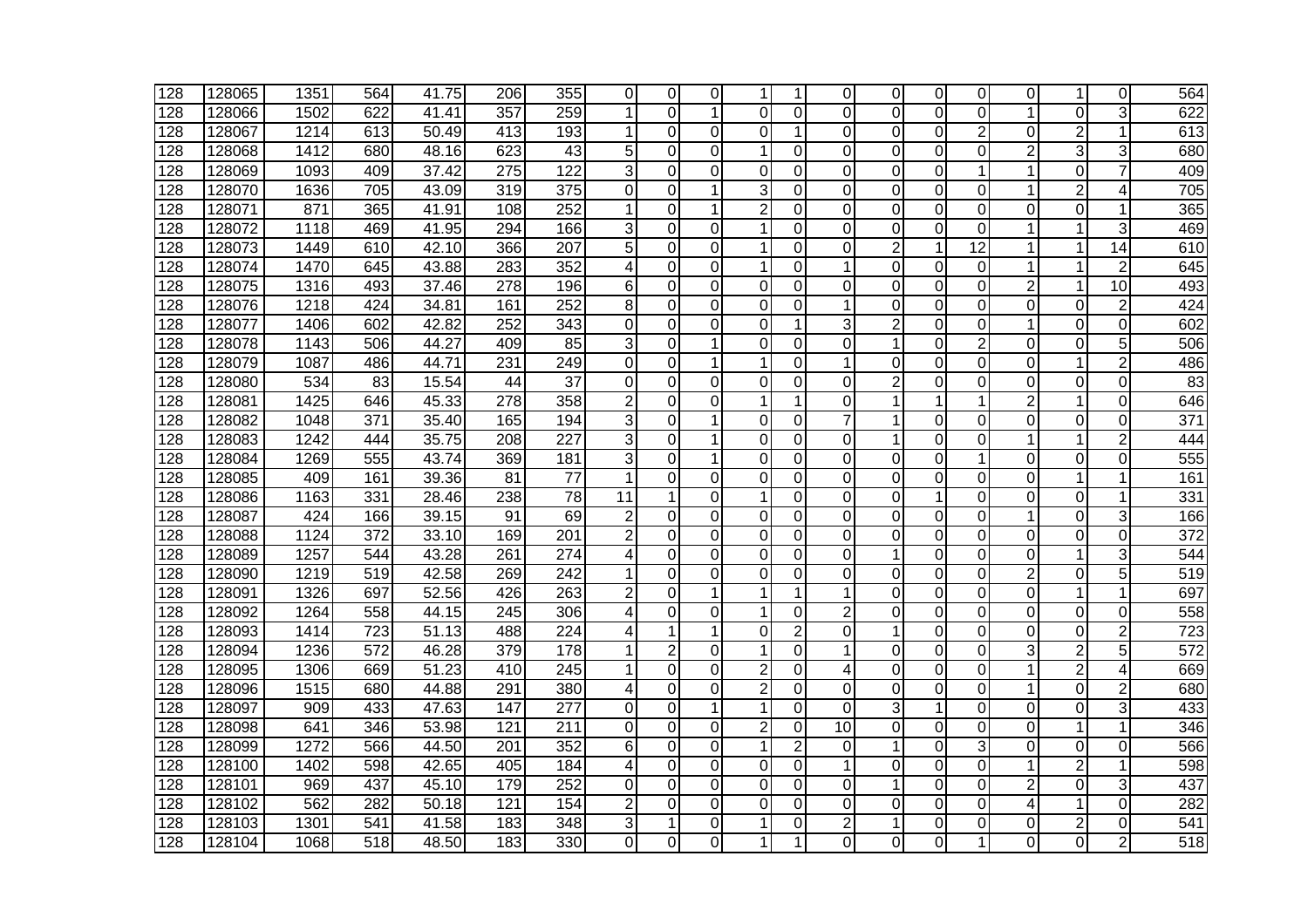| 128 | 128065 | 1351 | 564 | 41.75 | 206 | 355              | 0              | $\Omega$       | 0              | 1              |                | $\Omega$       | 0              | $\Omega$       | $\Omega$        | $\Omega$       | 1              | 0               | 564              |
|-----|--------|------|-----|-------|-----|------------------|----------------|----------------|----------------|----------------|----------------|----------------|----------------|----------------|-----------------|----------------|----------------|-----------------|------------------|
| 128 | 128066 | 1502 | 622 | 41.41 | 357 | 259              | 1              | $\Omega$       |                | $\Omega$       | 0              | $\Omega$       | $\Omega$       | $\Omega$       | $\Omega$        | 1              | $\Omega$       | 3               | 622              |
| 128 | 128067 | 1214 | 613 | 50.49 | 413 | 193              |                | 0              | $\mathbf 0$    | $\Omega$       |                | 0              | $\overline{0}$ | 0              | $\overline{2}$  | 0              | 2              | 1               | 613              |
| 128 | 128068 | 1412 | 680 | 48.16 | 623 | 43               | 5              | 0              | $\Omega$       | $\mathbf{1}$   | 0              | 0              | 0              | 0              | 0               | $\overline{2}$ | 3              | 3               | 680              |
| 128 | 128069 | 1093 | 409 | 37.42 | 275 | $\overline{122}$ | 3              | 0              | $\Omega$       | $\Omega$       | 0              | $\Omega$       | 0              | $\Omega$       | 1               | 1              | 0              | 7               | 409              |
| 128 | 128070 | 1636 | 705 | 43.09 | 319 | $\overline{375}$ | 0              | 0              | 1              | 3              | 0              | 0              | 0              | 0              | 0               | 1              | $\overline{2}$ | 4               | 705              |
| 128 | 128071 | 871  | 365 | 41.91 | 108 | 252              | 1              | 0              |                | $\overline{2}$ | 0              | 0              | $\Omega$       | $\Omega$       | $\overline{0}$  | 0              | 0              | 1               | 365              |
| 128 | 128072 | 1118 | 469 | 41.95 | 294 | 166              | 3              | $\mathbf 0$    | $\Omega$       | 1              | 0              | 0              | $\mathbf 0$    | 0              | 0               | 1              | 1              | 3               | 469              |
| 128 | 128073 | 1449 | 610 | 42.10 | 366 | 207              | 5              | $\overline{0}$ | 0              | 1              | 0              | $\overline{0}$ | $\overline{2}$ | 1              | $\overline{12}$ | 1              | 1              | $\overline{14}$ | 610              |
| 128 | 128074 | 1470 | 645 | 43.88 | 283 | 352              | 4              | 0              | 0              | $\mathbf{1}$   | $\overline{0}$ | 1              | $\overline{0}$ | $\overline{0}$ | $\overline{0}$  | 1              | 1              | $\overline{2}$  | 645              |
| 128 | 128075 | 1316 | 493 | 37.46 | 278 | 196              | 6              | 0              | $\Omega$       | $\Omega$       | $\Omega$       | 0              | $\Omega$       | $\Omega$       | $\overline{0}$  | $\overline{c}$ | 1              | 10              | 493              |
| 128 | 128076 | 1218 | 424 | 34.81 | 161 | 252              | 8              | 0              | 0              | 0              | 0              | 1              | 0              | 0              | 0               | 0              | 0              | $\overline{2}$  | 424              |
| 128 | 128077 | 1406 | 602 | 42.82 | 252 | 343              | 0              | 0              | $\Omega$       | $\Omega$       | 1              | 3              | $\overline{c}$ | 0              | 0               | 1              | 0              | 0               | 602              |
| 128 | 128078 | 1143 | 506 | 44.27 | 409 | 85               | 3              | 0              | 1              | 0              | 0              | 0              | 1              | 0              | $\overline{2}$  | 0              | 0              | 5               | 506              |
| 128 | 128079 | 1087 | 486 | 44.71 | 231 | 249              | $\mathbf 0$    | 0              | 1              | $\mathbf{1}$   | 0              | 1              | 0              | 0              | 0               | 0              | 1              | $\overline{2}$  | 486              |
| 128 | 128080 | 534  | 83  | 15.54 | 44  | $\overline{37}$  | $\mathbf 0$    | $\overline{0}$ | 0              | 0              | 0              | $\Omega$       | $\overline{2}$ | 0              | $\overline{0}$  | 0              | 0              | $\Omega$        | 83               |
| 128 | 128081 | 1425 | 646 | 45.33 | 278 | 358              | $\overline{c}$ | 0              | $\mathbf 0$    | $\mathbf{1}$   | 1              | 0              | $\mathbf{1}$   | 1              | 1               | $\overline{2}$ | 1              | $\overline{0}$  | 646              |
| 128 | 128082 | 1048 | 371 | 35.40 | 165 | 194              | 3              | $\Omega$       | 1              | $\overline{0}$ | $\Omega$       | 7              | 1              | $\mathbf 0$    | $\Omega$        | 0              | $\Omega$       | $\Omega$        | 371              |
| 128 | 128083 | 1242 | 444 | 35.75 | 208 | 227              | 3              | $\Omega$       | 1              | 0              | 0              | 0              | $\mathbf{1}$   | 0              | $\overline{0}$  | 1              | 1              | $\overline{2}$  | 444              |
| 128 | 128084 | 1269 | 555 | 43.74 | 369 | 181              | 3              | 0              | 1              | $\Omega$       | 0              | 0              | $\Omega$       | 0              | 1               | 0              | 0              | 0               | 555              |
| 128 | 128085 | 409  | 161 | 39.36 | 81  | 77               | 1              | 0              | 0              | 0              | 0              | 0              | 0              | 0              | 0               | 0              | 1              | 1               | 161              |
| 128 | 128086 | 1163 | 331 | 28.46 | 238 | 78               | 11             | 1              | 0              | 1              | 0              | 0              | 0              | 1              | 0               | 0              | 0              | 1               | 331              |
| 128 | 128087 | 424  | 166 | 39.15 | 91  | 69               | $\overline{2}$ | $\mathbf 0$    | 0              | 0              | 0              | 0              | $\mathbf 0$    | $\mathbf 0$    | $\mathbf 0$     | 1              | 0              | 3               | 166              |
| 128 | 128088 | 1124 | 372 | 33.10 | 169 | 201              | $\overline{2}$ | 0              | 0              | 0              | 0              | 0              | $\overline{0}$ | $\overline{O}$ | 0               | $\overline{0}$ | 0              | $\overline{0}$  | $\overline{372}$ |
| 128 | 128089 | 1257 | 544 | 43.28 | 261 | $\overline{274}$ | 4              | 0              | $\overline{0}$ | 0              | 0              | 0              | $\mathbf{1}$   | $\overline{0}$ | 0               | $\overline{0}$ | 1              | 3               | 544              |
| 128 | 128090 | 1219 | 519 | 42.58 | 269 | 242              | 1              | 0              | $\Omega$       | 0              | 0              | 0              | $\Omega$       | $\Omega$       | 0               | $\overline{2}$ | $\Omega$       | 5               | 519              |
| 128 | 128091 | 1326 | 697 | 52.56 | 426 | 263              | $\overline{2}$ | 0              | 1              | 1              | 1              | 1              | 0              | 0              | $\overline{0}$  | 0              | 1              | 1               | 697              |
| 128 | 128092 | 1264 | 558 | 44.15 | 245 | 306              | 4              | 0              | 0              | $\mathbf 1$    | 0              | 2              | 0              | 0              | $\overline{0}$  | 0              | 0              | $\Omega$        | 558              |
| 128 | 128093 | 1414 | 723 | 51.13 | 488 | 224              | 4              | 1              | 1              | 0              | $\overline{2}$ | 0              | 1              | 0              | 0               | 0              | 0              | $\overline{c}$  | 723              |
| 128 | 128094 | 1236 | 572 | 46.28 | 379 | 178              | 1              | $\overline{2}$ | 0              | $\mathbf 1$    | 0              | 1              | 0              | 0              | $\mathbf 0$     | 3              | $\overline{2}$ | 5               | 572              |
| 128 | 128095 | 1306 | 669 | 51.23 | 410 | 245              | 1              | $\overline{0}$ | 0              | $\overline{2}$ | 0              | 4              | $\mathbf 0$    | $\mathbf 0$    | $\mathbf 0$     | 1              | $\overline{2}$ | 4               | 669              |
| 128 | 128096 | 1515 | 680 | 44.88 | 291 | 380              | 4              | 0              | $\mathbf 0$    | $\overline{c}$ | 0              | 0              | $\overline{0}$ | 0              | 0               | 1              | 0              | $\overline{2}$  | 680              |
| 128 | 128097 | 909  | 433 | 47.63 | 147 | 277              | 0              | $\Omega$       | 1              | 1              | 0              | $\Omega$       | 3              | 1              | 0               | $\mathbf 0$    | $\mathbf 0$    | 3               | 433              |
| 128 | 128098 | 641  | 346 | 53.98 | 121 | 211              | $\Omega$       | 0              | 0              | $\overline{2}$ | 0              | 10             | $\overline{0}$ | 0              | $\overline{0}$  | 0              | 1              | 1               | 346              |
| 128 | 128099 | 1272 | 566 | 44.50 | 201 | 352              | 6              | 0              | 0              | $\mathbf 1$    | $\overline{2}$ | 0              | 1              | 0              | 3               | Ō              | $\Omega$       | $\Omega$        | 566              |
| 128 | 128100 | 1402 | 598 | 42.65 | 405 | 184              | 4              | 0              | $\Omega$       | $\Omega$       | 0              | 1              | 0              | 0              | 0               | 1              | 2              | 1               | 598              |
| 128 | 128101 | 969  | 437 | 45.10 | 179 | 252              | $\Omega$       | $\Omega$       | 0              | 0              | $\Omega$       | 0              | 1              | 0              | $\overline{0}$  | $\overline{2}$ | 0              | 3               | 437              |
| 128 | 128102 | 562  | 282 | 50.18 | 121 | 154              | 2              | 0              | $\Omega$       | $\Omega$       | 0              | $\Omega$       | $\Omega$       | O              | $\overline{0}$  | $\overline{4}$ | 1              | $\Omega$        | 282              |
| 128 | 128103 | 1301 | 541 | 41.58 | 183 | 348              | 3              | 1              | 0              |                | 0              | 2              | 1              | 0              | 0               | 0              | $\overline{c}$ | 0               | 541              |
| 128 | 128104 | 1068 | 518 | 48.50 | 183 | 330              | 0              | 0              | $\Omega$       |                |                | 0              | 0              | 0              | 1               | 0              | 0              | $\overline{2}$  | 518              |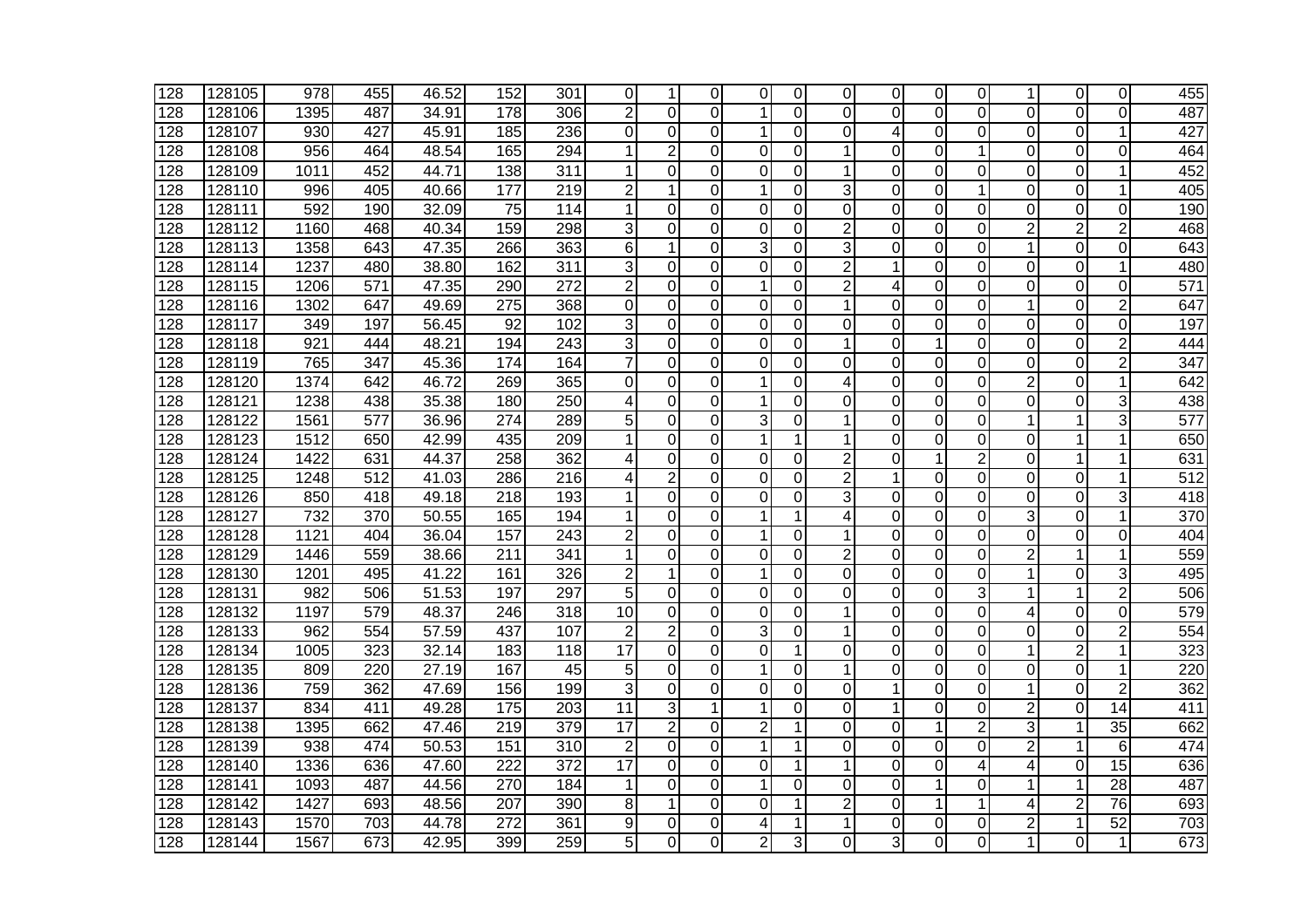| 128 | 128105 | 978  | 455 | 46.52 | 152 | 301              | 0              | 1              | $\Omega$       | 0              | 0        | 0              | 0              | 0              | 0              | 1              | 0              | 0               | 455             |
|-----|--------|------|-----|-------|-----|------------------|----------------|----------------|----------------|----------------|----------|----------------|----------------|----------------|----------------|----------------|----------------|-----------------|-----------------|
| 128 | 128106 | 1395 | 487 | 34.91 | 178 | 306              | $\overline{c}$ | 0              | $\Omega$       | $\mathbf{1}$   | 0        | $\Omega$       | $\overline{0}$ | 0              | 0              | $\overline{0}$ | 0              | $\Omega$        | 487             |
| 128 | 128107 | 930  | 427 | 45.91 | 185 | 236              | $\Omega$       | 0              | $\mathbf 0$    | $\mathbf{1}$   | 0        | 0              | 4              | 0              | 0              | 0              | $\mathbf 0$    |                 | 427             |
| 128 | 128108 | 956  | 464 | 48.54 | 165 | 294              |                | $\overline{2}$ | $\Omega$       | $\Omega$       | 0        |                | $\Omega$       | 0              | 1              | 0              | 0              | 0               | 464             |
| 128 | 128109 | 1011 | 452 | 44.71 | 138 | 311              | 1              | 0              | $\Omega$       | 0              | 0        | 1              | 0              | 0              | 0              | 0              | 0              | 1               | 452             |
| 128 | 128110 | 996  | 405 | 40.66 | 177 | $\overline{219}$ | 2              | 1              | $\Omega$       | 1              | 0        | 3              | 0              | 0              | 1              | 0              | 0              | 1               | 405             |
| 128 | 128111 | 592  | 190 | 32.09 | 75  | 114              | 1              | 0              | $\Omega$       | $\Omega$       | 0        | 0              | $\Omega$       | $\mathbf 0$    | 0              | 0              | $\mathbf 0$    | $\Omega$        | 190             |
| 128 | 128112 | 1160 | 468 | 40.34 | 159 | 298              | 3              | 0              | 0              | 0              | 0        | $\overline{2}$ | $\overline{0}$ | 0              | 0              | $\overline{2}$ | $\overline{2}$ | $\overline{2}$  | 468             |
| 128 | 128113 | 1358 | 643 | 47.35 | 266 | 363              | 6              | 1              | $\Omega$       | 3              | 0        | 3              | $\mathbf 0$    | 0              | 0              | 1              | 0              | $\Omega$        | 643             |
| 128 | 128114 | 1237 | 480 | 38.80 | 162 | $\overline{311}$ | 3              | 0              | 0              | 0              | 0        | $\overline{2}$ | 1              | 0              | 0              | 0              | 0              | 1               | 480             |
| 128 | 128115 | 1206 | 571 | 47.35 | 290 | 272              | 2              | 0              | 0              | $\mathbf{1}$   | 0        | 2              | 4              | 0              | 0              | 0              | 0              | 0               | 571             |
| 128 | 128116 | 1302 | 647 | 49.69 | 275 | 368              | $\Omega$       | 0              | 0              | 0              | 0        | 1              | 0              | 0              | 0              | 1              | $\mathbf 0$    | $\overline{2}$  | 647             |
| 128 | 128117 | 349  | 197 | 56.45 | 92  | 102              | 3              | 0              | $\Omega$       | 0              | 0        | 0              | 0              | 0              | 0              | 0              | 0              | 0               | 197             |
| 128 | 128118 | 921  | 444 | 48.21 | 194 | 243              | 3              | 0              | $\mathbf 0$    | $\overline{0}$ | 0        | 1              | 0              | 1              | 0              | 0              | 0              | $\overline{2}$  | 444             |
| 128 | 128119 | 765  | 347 | 45.36 | 174 | 164              | 7              | 0              | 0              | 0              | 0        | 0              | 0              | 0              | 0              | 0              | 0              | $\overline{c}$  | $\frac{347}{ }$ |
| 128 | 128120 | 1374 | 642 | 46.72 | 269 | 365              | $\Omega$       | $\overline{0}$ | $\overline{0}$ | $\mathbf 1$    | 0        | 4              | $\overline{0}$ | $\overline{0}$ | $\overline{0}$ | $\overline{2}$ | 0              | 1               | 642             |
| 128 | 128121 | 1238 | 438 | 35.38 | 180 | 250              | 4              | 0              | $\mathbf 0$    | $\mathbf{1}$   | 0        | 0              | $\overline{0}$ | 0              | 0              | 0              | 0              | 3               | 438             |
| 128 | 128122 | 1561 | 577 | 36.96 | 274 | 289              | 5              | 0              | 0              | 3              | 0        | 1              | 0              | $\mathbf 0$    | $\Omega$       | 1              | 1              | 3               | 577             |
| 128 | 128123 | 1512 | 650 | 42.99 | 435 | 209              | 1              | 0              | $\Omega$       | $\mathbf{1}$   | 1        | 1              | 0              | 0              | 0              | 0              | 1              | 1               | 650             |
| 128 | 128124 | 1422 | 631 | 44.37 | 258 | 362              | 4              | 0              | 0              | 0              | $\Omega$ | 2              | 0              | 1              | $\overline{2}$ | 0              | 1              | 1               | 631             |
| 128 | 128125 | 1248 | 512 | 41.03 | 286 | 216              | 4              | $\overline{c}$ | $\Omega$       | $\Omega$       | 0        | 2              | 1              | 0              | 0              | 0              | 0              | 1               | 512             |
| 128 | 128126 | 850  | 418 | 49.18 | 218 | 193              |                | $\Omega$       | $\Omega$       | $\Omega$       | $\Omega$ | 3              | $\Omega$       | $\mathbf 0$    | 0              | 0              | $\mathbf 0$    | 3               | 418             |
| 128 | 128127 | 732  | 370 | 50.55 | 165 | 194              | 1              | 0              | $\Omega$       | $\mathbf 1$    | 1        | 4              | $\overline{0}$ | $\overline{0}$ | $\overline{0}$ | 3              | 0              | 1               | 370             |
| 128 | 128128 | 1121 | 404 | 36.04 | 157 | 243              | $\overline{c}$ | $\Omega$       | 0              | $\mathbf 1$    | $\Omega$ | 1              | $\mathbf 0$    | 0              | $\Omega$       | $\overline{0}$ | 0              | $\Omega$        | 404             |
| 128 | 128129 | 1446 | 559 | 38.66 | 211 | 341              | 1              | 0              | 0              | 0              | 0        | 2              | $\mathbf 0$    | $\overline{0}$ | 0              | $\overline{2}$ | 1              | 1               | 559             |
| 128 | 128130 | 1201 | 495 | 41.22 | 161 | 326              | $\overline{2}$ | 1              | $\Omega$       | $\mathbf 1$    | 0        | $\Omega$       | $\Omega$       | $\mathbf 0$    | 0              | 1              | 0              | 3               | 495             |
| 128 | 128131 | 982  | 506 | 51.53 | 197 | 297              | 5              | $\mathbf 0$    | 0              | 0              | 0        | 0              | 0              | 0              | 3              | 1              | 1              | $\overline{2}$  | 506             |
| 128 | 128132 | 1197 | 579 | 48.37 | 246 | 318              | 10             | 0              | $\Omega$       | $\Omega$       | $\Omega$ | 1              | 0              | 0              | 0              | 4              | 0              | 0               | 579             |
| 128 | 128133 | 962  | 554 | 57.59 | 437 | 107              | $\overline{2}$ | $\overline{2}$ | $\mathbf 0$    | 3              | 0        | 1              | 0              | $\overline{0}$ | 0              | 0              | 0              | $\overline{2}$  | 554             |
| 128 | 128134 | 1005 | 323 | 32.14 | 183 | 118              | 17             | $\Omega$       | 0              | $\overline{0}$ | 1        | 0              | $\overline{0}$ | 0              | 0              | $\mathbf{1}$   | $\overline{2}$ | 1               | 323             |
| 128 | 128135 | 809  | 220 | 27.19 | 167 | 45               | 5              | $\mathbf 0$    | 0              | 1              | 0        | 1              | $\mathbf 0$    | 0              | 0              | 0              | $\mathbf 0$    | 1               | 220             |
| 128 | 128136 | 759  | 362 | 47.69 | 156 | 199              | 3              | 0              | $\mathbf 0$    | 0              | 0        | $\Omega$       | 1              | 0              | 0              | 1              | $\Omega$       | $\overline{2}$  | 362             |
| 128 | 128137 | 834  | 411 | 49.28 | 175 | 203              | 11             | 3              | 1              | 1              | 0        | 0              | 1              | $\mathbf 0$    | $\Omega$       | $\overline{2}$ | $\mathbf 0$    | 14              | 411             |
| 128 | 128138 | 1395 | 662 | 47.46 | 219 | 379              | 17             | $\overline{2}$ | $\Omega$       | $\overline{2}$ | 1        | 0              | $\Omega$       | 1              | $\overline{2}$ | 3              | 1              | 35              | 662             |
| 128 | 128139 | 938  | 474 | 50.53 | 151 | 310              | $\overline{2}$ | 0              | 0              | 1              | 1        | 0              | $\Omega$       | 0              | $\overline{0}$ | $\overline{2}$ | 1              | 6               | 474             |
| 128 | 128140 | 1336 | 636 | 47.60 | 222 | $\overline{372}$ | 17             | 0              | $\Omega$       | 0              | 1        |                | 0              | 0              | 4              | 4              | 0              | 15              | 636             |
| 128 | 128141 | 1093 | 487 | 44.56 | 270 | 184              | 1              | 0              | $\Omega$       | 1              | 0        | 0              | $\Omega$       | 1              | 0              | 1              | 1              | $\overline{28}$ | 487             |
| 128 | 128142 | 1427 | 693 | 48.56 | 207 | 390              | 8              | 1              | 0              | 0              | 1        | $\overline{2}$ | $\overline{0}$ | 1              | 1              | 4              | $\overline{2}$ | 76              | 693             |
| 128 | 128143 | 1570 | 703 | 44.78 | 272 | 361              | 9              | 0              | 0              | 4              |          |                | 0              | 0              | 0              | $\overline{c}$ | 1              | $\overline{52}$ | 703             |
| 128 | 128144 | 1567 | 673 | 42.95 | 399 | 259              | 5              | 0              | $\Omega$       | $\overline{2}$ | 3        | 0              | 3              | 0              | 0              | 1              | 0              | $\mathbf{1}$    | 673             |